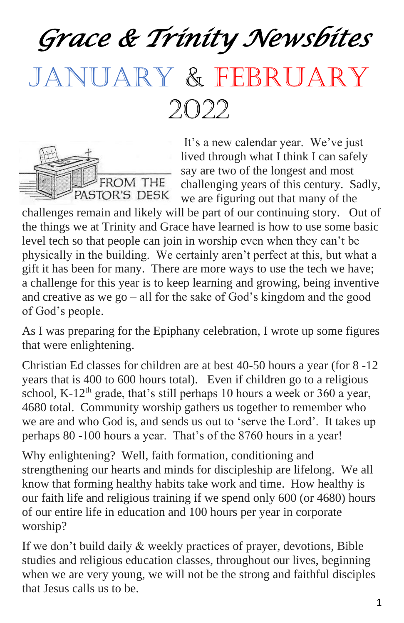*Grace & Trinity Newsbites* 

# JANUARY & FEBRUARY

2022

FROM THE PASTOR'S DESK

It's a new calendar year. We've just lived through what I think I can safely say are two of the longest and most challenging years of this century. Sadly, we are figuring out that many of the

challenges remain and likely will be part of our continuing story. Out of the things we at Trinity and Grace have learned is how to use some basic level tech so that people can join in worship even when they can't be physically in the building. We certainly aren't perfect at this, but what a gift it has been for many. There are more ways to use the tech we have; a challenge for this year is to keep learning and growing, being inventive and creative as we go – all for the sake of God's kingdom and the good of God's people.

As I was preparing for the Epiphany celebration, I wrote up some figures that were enlightening.

Christian Ed classes for children are at best 40-50 hours a year (for 8 -12 years that is 400 to 600 hours total). Even if children go to a religious school, K-12<sup>th</sup> grade, that's still perhaps 10 hours a week or 360 a year, 4680 total. Community worship gathers us together to remember who we are and who God is, and sends us out to 'serve the Lord'. It takes up perhaps 80 -100 hours a year. That's of the 8760 hours in a year!

Why enlightening? Well, faith formation, conditioning and strengthening our hearts and minds for discipleship are lifelong. We all know that forming healthy habits take work and time. How healthy is our faith life and religious training if we spend only 600 (or 4680) hours of our entire life in education and 100 hours per year in corporate worship?

If we don't build daily & weekly practices of prayer, devotions, Bible studies and religious education classes, throughout our lives, beginning when we are very young, we will not be the strong and faithful disciples that Jesus calls us to be.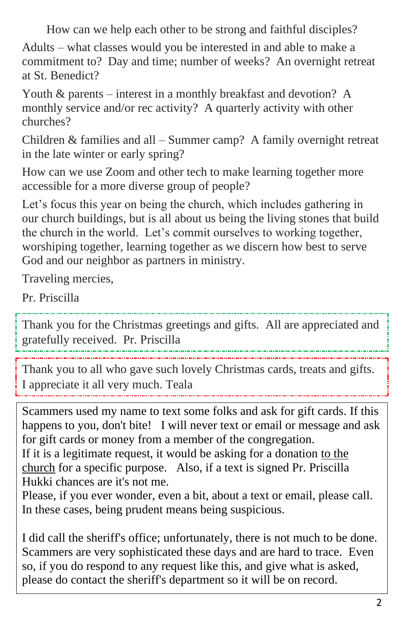How can we help each other to be strong and faithful disciples? Adults – what classes would you be interested in and able to make a commitment to? Day and time; number of weeks? An overnight retreat at St. Benedict?

Youth & parents – interest in a monthly breakfast and devotion? A monthly service and/or rec activity? A quarterly activity with other churches?

Children & families and all – Summer camp? A family overnight retreat in the late winter or early spring?

How can we use Zoom and other tech to make learning together more accessible for a more diverse group of people?

Let's focus this year on being the church, which includes gathering in our church buildings, but is all about us being the living stones that build the church in the world. Let's commit ourselves to working together, worshiping together, learning together as we discern how best to serve God and our neighbor as partners in ministry.

Traveling mercies,

Pr. Priscilla

Thank you for the Christmas greetings and gifts. All are appreciated and gratefully received. Pr. Priscilla

Thank you to all who gave such lovely Christmas cards, treats and gifts. I appreciate it all very much. Teala

Scammers used my name to text some folks and ask for gift cards. If this happens to you, don't bite! I will never text or email or message and ask for gift cards or money from a member of the congregation.

If it is a legitimate request, it would be asking for a donation to the church for a specific purpose. Also, if a text is signed Pr. Priscilla Hukki chances are it's not me.

Please, if you ever wonder, even a bit, about a text or email, please call. In these cases, being prudent means being suspicious.

I did call the sheriff's office; unfortunately, there is not much to be done. Scammers are very sophisticated these days and are hard to trace. Even so, if you do respond to any request like this, and give what is asked, please do contact the sheriff's department so it will be on record.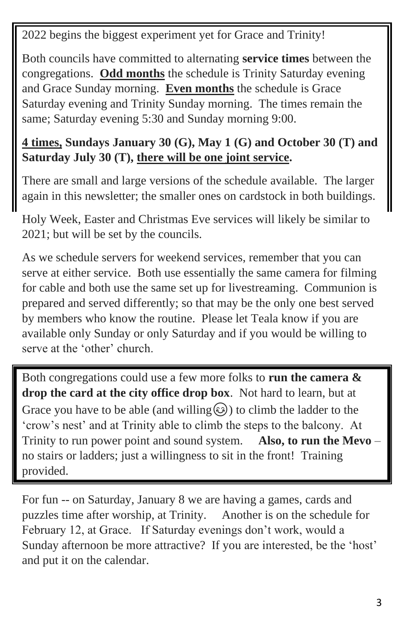2022 begins the biggest experiment yet for Grace and Trinity!

Both councils have committed to alternating **service times** between the congregations. **Odd months** the schedule is Trinity Saturday evening and Grace Sunday morning. **Even months** the schedule is Grace Saturday evening and Trinity Sunday morning. The times remain the same; Saturday evening 5:30 and Sunday morning 9:00.

#### **4 times, Sundays January 30 (G), May 1 (G) and October 30 (T) and Saturday July 30 (T), there will be one joint service.**

There are small and large versions of the schedule available. The larger again in this newsletter; the smaller ones on cardstock in both buildings.

Holy Week, Easter and Christmas Eve services will likely be similar to 2021; but will be set by the councils.

As we schedule servers for weekend services, remember that you can serve at either service. Both use essentially the same camera for filming for cable and both use the same set up for livestreaming. Communion is prepared and served differently; so that may be the only one best served by members who know the routine. Please let Teala know if you are available only Sunday or only Saturday and if you would be willing to serve at the 'other' church.

Both congregations could use a few more folks to **run the camera & drop the card at the city office drop box**. Not hard to learn, but at Grace you have to be able (and willing  $\odot$ ) to climb the ladder to the 'crow's nest' and at Trinity able to climb the steps to the balcony. At Trinity to run power point and sound system. **Also, to run the Mevo** – no stairs or ladders; just a willingness to sit in the front! Training provided.

For fun -- on Saturday, January 8 we are having a games, cards and puzzles time after worship, at Trinity. Another is on the schedule for February 12, at Grace. If Saturday evenings don't work, would a Sunday afternoon be more attractive? If you are interested, be the 'host' and put it on the calendar.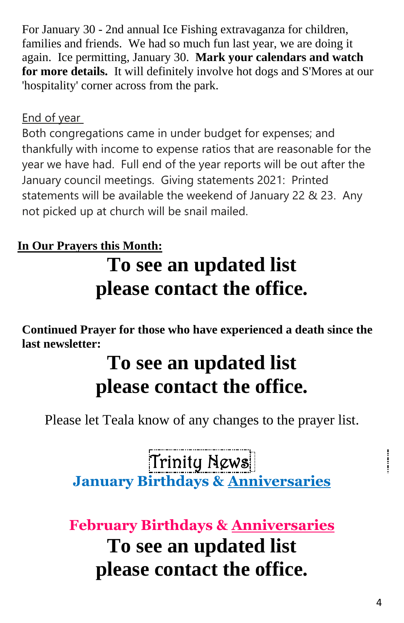For January 30 - 2nd annual Ice Fishing extravaganza for children, families and friends. We had so much fun last year, we are doing it again. Ice permitting, January 30. **Mark your calendars and watch for more details.** It will definitely involve hot dogs and S'Mores at our 'hospitality' corner across from the park.

#### End of year

Both congregations came in under budget for expenses; and thankfully with income to expense ratios that are reasonable for the year we have had. Full end of the year reports will be out after the January council meetings. Giving statements 2021: Printed statements will be available the weekend of January 22 & 23. Any not picked up at church will be snail mailed.

### **In Our Prayers this Month:**

# **To see an updated list please contact the office.**

**Continued Prayer for those who have experienced a death since the last newsletter:**

# **To see an updated list please contact the office.**

Please let Teala know of any changes to the prayer list.

Trinity News **January Birthdays & Anniversaries** 

**February Birthdays & Anniversaries To see an updated list please contact the office.**

 $\frac{1}{2}$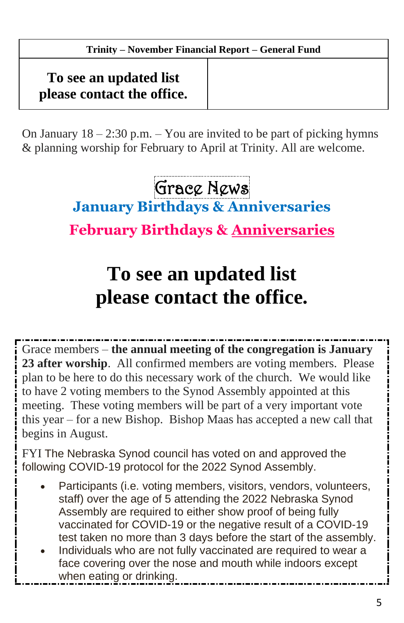#### **October Trinity Jan-October 2021 Year to Date – November Financial Report – General Fund**

### **To see an updated list please contact the office.**

On January  $18 - 2:30$  p.m.  $-$  You are invited to be part of picking hymns & planning worship for February to April at Trinity. All are welcome.

Grace News

**January Birthdays & Anniversaries** 

**February Birthdays & Anniversaries**

# **To see an updated list please contact the office.**

Grace members – **the annual meeting of the congregation is January 23 after worship**. All confirmed members are voting members. Please plan to be here to do this necessary work of the church. We would like to have 2 voting members to the Synod Assembly appointed at this meeting. These voting members will be part of a very important vote this year – for a new Bishop. Bishop Maas has accepted a new call that begins in August.

FYI The Nebraska Synod council has voted on and approved the following COVID-19 protocol for the 2022 Synod Assembly.

- Participants (i.e. voting members, visitors, vendors, volunteers, staff) over the age of 5 attending the 2022 Nebraska Synod Assembly are required to either show proof of being fully vaccinated for COVID-19 or the negative result of a COVID-19 test taken no more than 3 days before the start of the assembly.
- Individuals who are not fully vaccinated are required to wear a face covering over the nose and mouth while indoors except when eating or drinking.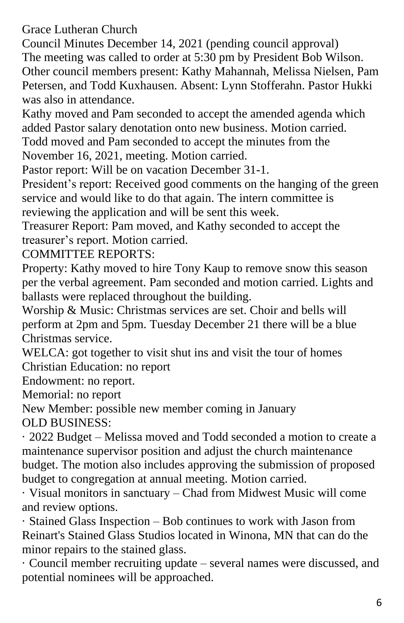Grace Lutheran Church

Council Minutes December 14, 2021 (pending council approval) The meeting was called to order at 5:30 pm by President Bob Wilson. Other council members present: Kathy Mahannah, Melissa Nielsen, Pam Petersen, and Todd Kuxhausen. Absent: Lynn Stofferahn. Pastor Hukki was also in attendance.

Kathy moved and Pam seconded to accept the amended agenda which added Pastor salary denotation onto new business. Motion carried. Todd moved and Pam seconded to accept the minutes from the

November 16, 2021, meeting. Motion carried.

Pastor report: Will be on vacation December 31-1.

President's report: Received good comments on the hanging of the green service and would like to do that again. The intern committee is reviewing the application and will be sent this week.

Treasurer Report: Pam moved, and Kathy seconded to accept the treasurer's report. Motion carried.

COMMITTEE REPORTS:

Property: Kathy moved to hire Tony Kaup to remove snow this season per the verbal agreement. Pam seconded and motion carried. Lights and ballasts were replaced throughout the building.

Worship & Music: Christmas services are set. Choir and bells will perform at 2pm and 5pm. Tuesday December 21 there will be a blue Christmas service.

WELCA: got together to visit shut ins and visit the tour of homes Christian Education: no report

Endowment: no report.

Memorial: no report

New Member: possible new member coming in January OLD BUSINESS:

· 2022 Budget – Melissa moved and Todd seconded a motion to create a maintenance supervisor position and adjust the church maintenance budget. The motion also includes approving the submission of proposed budget to congregation at annual meeting. Motion carried.

· Visual monitors in sanctuary – Chad from Midwest Music will come and review options.

· Stained Glass Inspection – Bob continues to work with Jason from Reinart's Stained Glass Studios located in Winona, MN that can do the minor repairs to the stained glass.

· Council member recruiting update – several names were discussed, and potential nominees will be approached.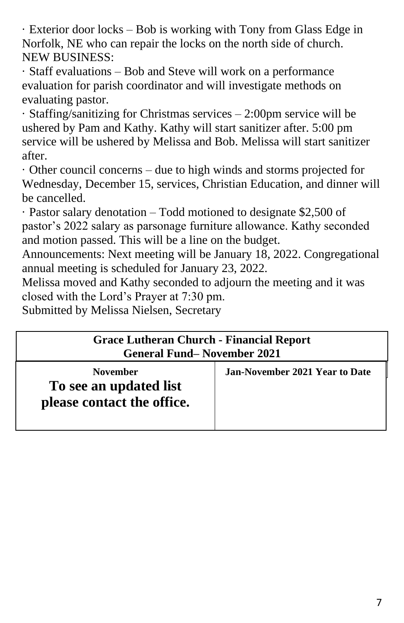· Exterior door locks – Bob is working with Tony from Glass Edge in Norfolk, NE who can repair the locks on the north side of church. NEW BUSINESS:

· Staff evaluations – Bob and Steve will work on a performance evaluation for parish coordinator and will investigate methods on evaluating pastor.

· Staffing/sanitizing for Christmas services – 2:00pm service will be ushered by Pam and Kathy. Kathy will start sanitizer after. 5:00 pm service will be ushered by Melissa and Bob. Melissa will start sanitizer after.

· Other council concerns – due to high winds and storms projected for Wednesday, December 15, services, Christian Education, and dinner will be cancelled.

· Pastor salary denotation – Todd motioned to designate \$2,500 of pastor's 2022 salary as parsonage furniture allowance. Kathy seconded and motion passed. This will be a line on the budget.

Announcements: Next meeting will be January 18, 2022. Congregational annual meeting is scheduled for January 23, 2022.

Melissa moved and Kathy seconded to adjourn the meeting and it was closed with the Lord's Prayer at 7:30 pm.

Submitted by Melissa Nielsen, Secretary

| <b>Grace Lutheran Church - Financial Report</b><br><b>General Fund–November 2021</b> |                                |  |
|--------------------------------------------------------------------------------------|--------------------------------|--|
| <b>November</b><br>To see an updated list<br>please contact the office.              | Jan-November 2021 Year to Date |  |